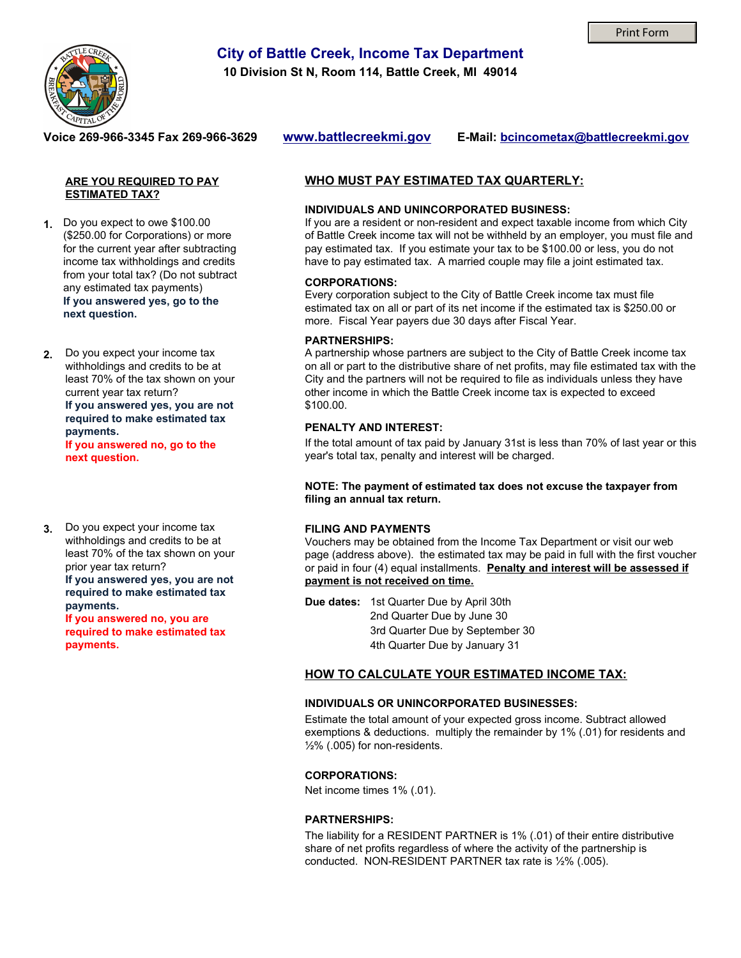

# **City of Battle Creek, Income Tax Department**

**10 Division St N, Room 114, Battle Creek, MI 49014** 

#### **Voice 269-966-3345 Fax 269-966-3629**

**www.battlecreekmi.gov E-Mail: bcincometax@battlecreekmi.gov**

#### **ARE YOU REQUIRED TO PAY ESTIMATED TAX?**

**1.** Do you expect to owe \$100.00 (\$250.00 for Corporations) or more for the current year after subtracting income tax withholdings and credits from your total tax? (Do not subtract any estimated tax payments) **If you answered yes, go to the next question.**

Do you expect your income tax withholdings and credits to be at least 70% of the tax shown on your current year tax return? **If you answered yes, you are not required to make estimated tax payments. 2.**

**If you answered no, go to the next question.**

**3.** Do you expect your income tax withholdings and credits to be at least 70% of the tax shown on your prior year tax return? **If you answered yes, you are not required to make estimated tax payments.** 

> **If you answered no, you are required to make estimated tax payments.**

### **WHO MUST PAY ESTIMATED TAX QUARTERLY:**

#### **INDIVIDUALS AND UNINCORPORATED BUSINESS:**

If you are a resident or non-resident and expect taxable income from which City of Battle Creek income tax will not be withheld by an employer, you must file and pay estimated tax. If you estimate your tax to be \$100.00 or less, you do not have to pay estimated tax. A married couple may file a joint estimated tax.

#### **CORPORATIONS:**

Every corporation subject to the City of Battle Creek income tax must file estimated tax on all or part of its net income if the estimated tax is \$250.00 or more. Fiscal Year payers due 30 days after Fiscal Year.

#### **PARTNERSHIPS:**

A partnership whose partners are subject to the City of Battle Creek income tax on all or part to the distributive share of net profits, may file estimated tax with the City and the partners will not be required to file as individuals unless they have other income in which the Battle Creek income tax is expected to exceed \$100.00.

#### **PENALTY AND INTEREST:**

If the total amount of tax paid by January 31st is less than 70% of last year or this year's total tax, penalty and interest will be charged.

**NOTE: The payment of estimated tax does not excuse the taxpayer from filing an annual tax return.**

#### **FILING AND PAYMENTS**

Vouchers may be obtained from the Income Tax Department or visit our web page (address above). the estimated tax may be paid in full with the first voucher or paid in four (4) equal installments. **Penalty and interest will be assessed if payment is not received on time.**

**Due dates:** 1st Quarter Due by April 30th 2nd Quarter Due by June 30 3rd Quarter Due by September 30 4th Quarter Due by January 31

#### **HOW TO CALCULATE YOUR ESTIMATED INCOME TAX:**

#### **INDIVIDUALS OR UNINCORPORATED BUSINESSES:**

Estimate the total amount of your expected gross income. Subtract allowed exemptions & deductions. multiply the remainder by 1% (.01) for residents and ½% (.005) for non-residents.

#### **CORPORATIONS:**

Net income times 1% (.01).

#### **PARTNERSHIPS:**

The liability for a RESIDENT PARTNER is 1% (.01) of their entire distributive share of net profits regardless of where the activity of the partnership is conducted. NON-RESIDENT PARTNER tax rate is ½% (.005).